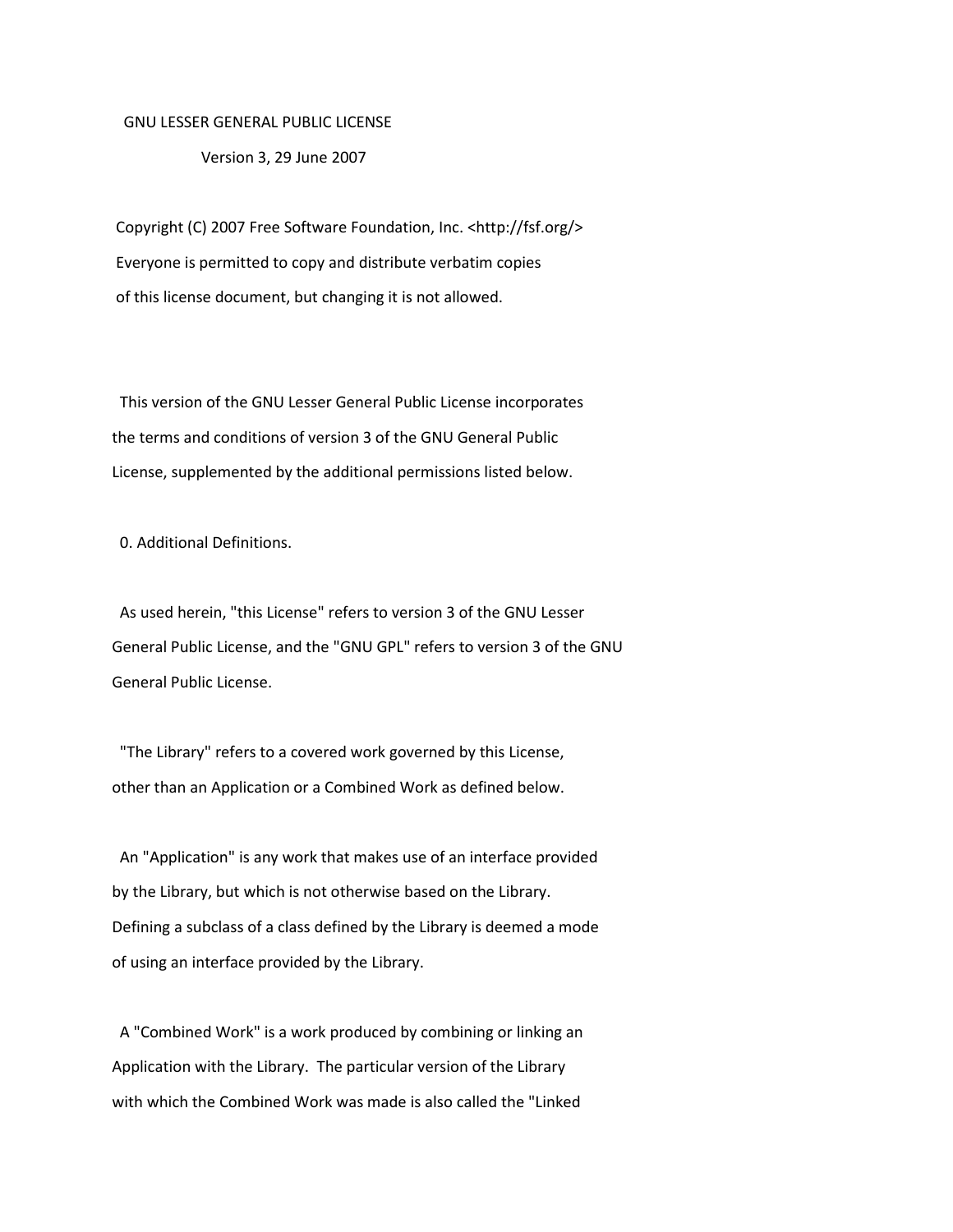## GNU LESSER GENERAL PUBLIC LICENSE

Version 3, 29 June 2007

Copyright (C) 2007 Free Software Foundation, Inc. <http://fsf.org/> Everyone is permitted to copy and distribute verbatim copies of this license document, but changing it is not allowed.

 This version of the GNU Lesser General Public License incorporates the terms and conditions of version 3 of the GNU General Public License, supplemented by the additional permissions listed below.

0. Additional Definitions.

 As used herein, "this License" refers to version 3 of the GNU Lesser General Public License, and the "GNU GPL" refers to version 3 of the GNU General Public License.

 "The Library" refers to a covered work governed by this License, other than an Application or a Combined Work as defined below.

 An "Application" is any work that makes use of an interface provided by the Library, but which is not otherwise based on the Library. Defining a subclass of a class defined by the Library is deemed a mode of using an interface provided by the Library.

 A "Combined Work" is a work produced by combining or linking an Application with the Library. The particular version of the Library with which the Combined Work was made is also called the "Linked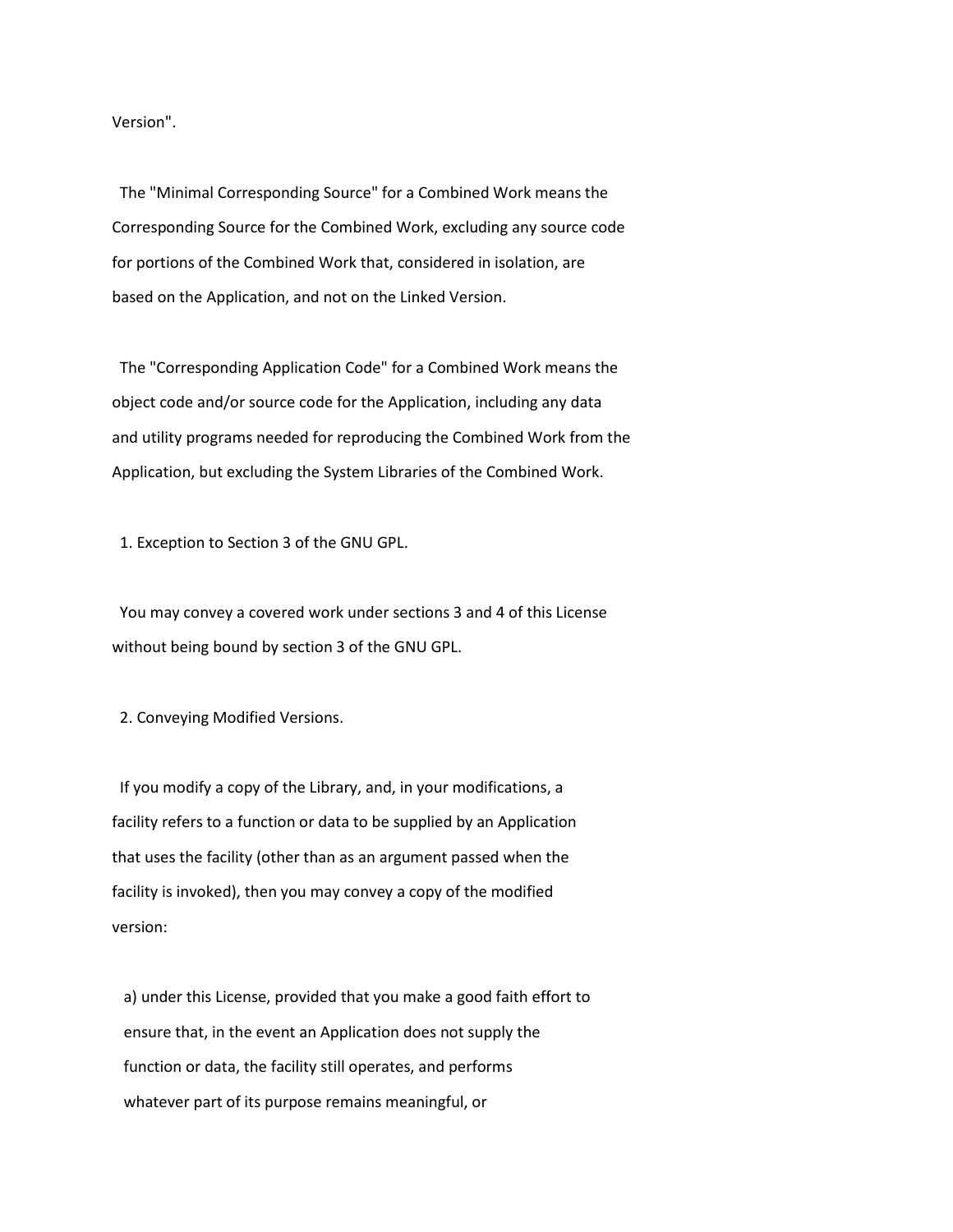Version".

 The "Minimal Corresponding Source" for a Combined Work means the Corresponding Source for the Combined Work, excluding any source code for portions of the Combined Work that, considered in isolation, are based on the Application, and not on the Linked Version.

 The "Corresponding Application Code" for a Combined Work means the object code and/or source code for the Application, including any data and utility programs needed for reproducing the Combined Work from the Application, but excluding the System Libraries of the Combined Work.

1. Exception to Section 3 of the GNU GPL.

 You may convey a covered work under sections 3 and 4 of this License without being bound by section 3 of the GNU GPL.

2. Conveying Modified Versions.

 If you modify a copy of the Library, and, in your modifications, a facility refers to a function or data to be supplied by an Application that uses the facility (other than as an argument passed when the facility is invoked), then you may convey a copy of the modified version:

 a) under this License, provided that you make a good faith effort to ensure that, in the event an Application does not supply the function or data, the facility still operates, and performs whatever part of its purpose remains meaningful, or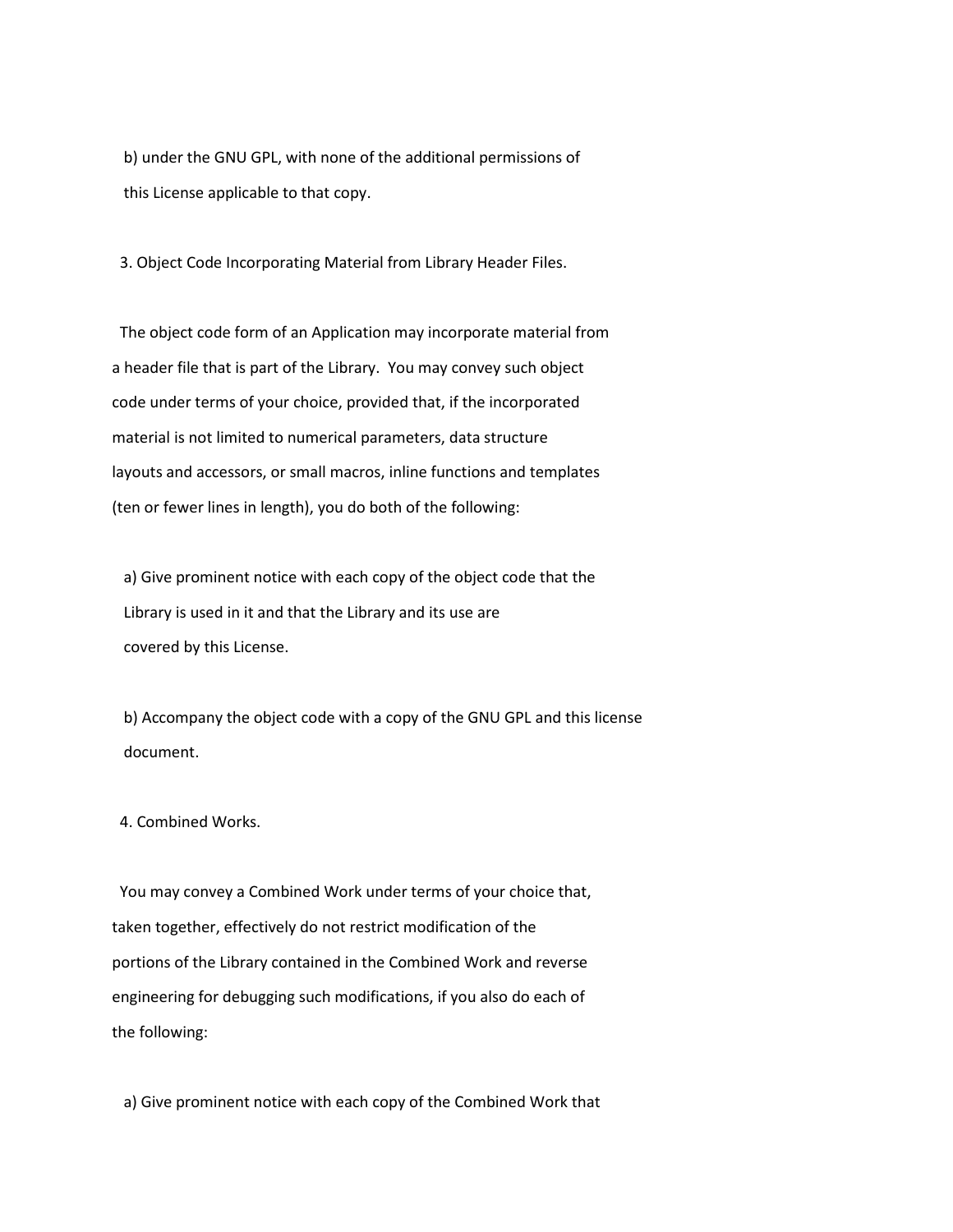b) under the GNU GPL, with none of the additional permissions of this License applicable to that copy.

3. Object Code Incorporating Material from Library Header Files.

 The object code form of an Application may incorporate material from a header file that is part of the Library. You may convey such object code under terms of your choice, provided that, if the incorporated material is not limited to numerical parameters, data structure layouts and accessors, or small macros, inline functions and templates (ten or fewer lines in length), you do both of the following:

 a) Give prominent notice with each copy of the object code that the Library is used in it and that the Library and its use are covered by this License.

 b) Accompany the object code with a copy of the GNU GPL and this license document.

## 4. Combined Works.

 You may convey a Combined Work under terms of your choice that, taken together, effectively do not restrict modification of the portions of the Library contained in the Combined Work and reverse engineering for debugging such modifications, if you also do each of the following:

a) Give prominent notice with each copy of the Combined Work that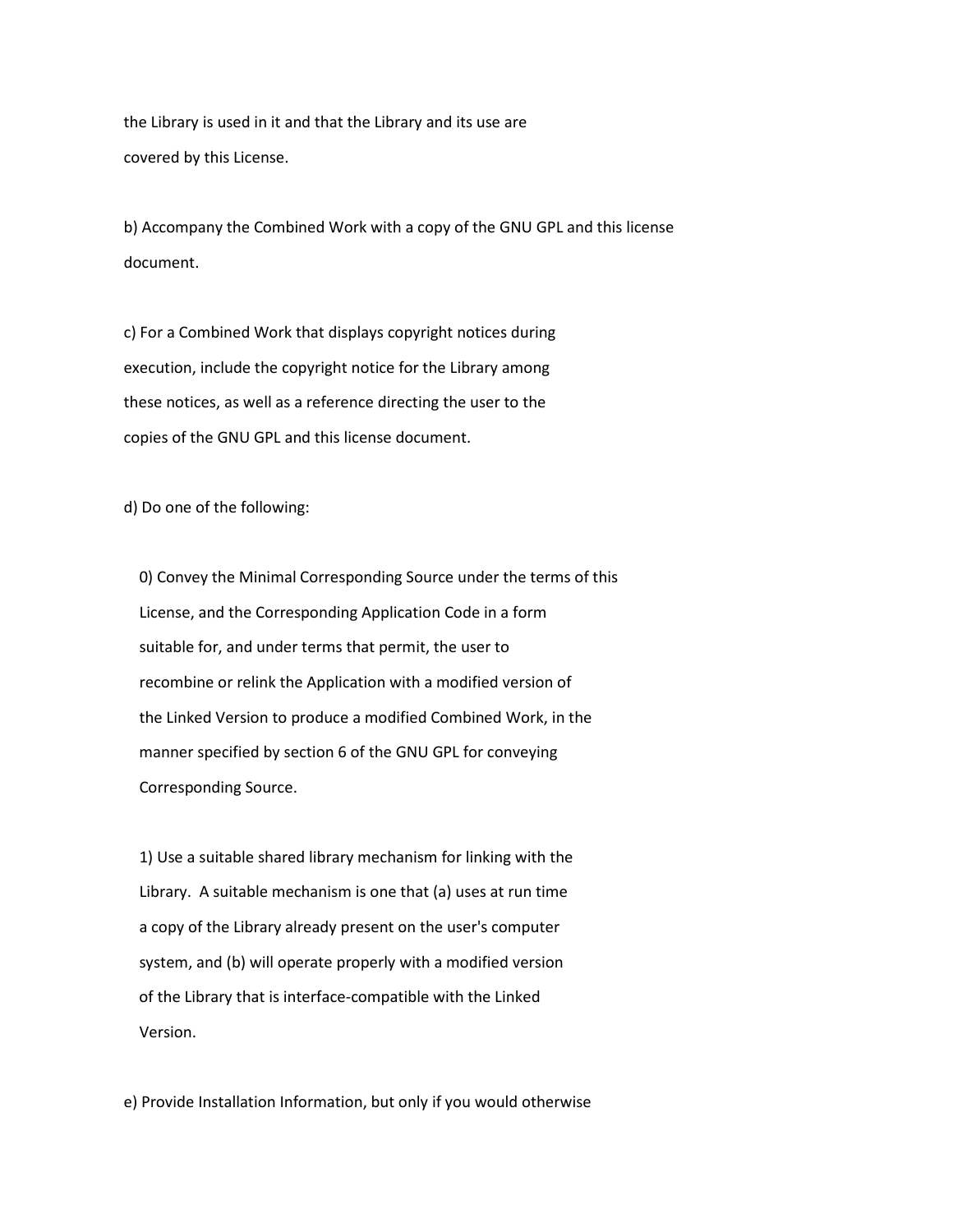the Library is used in it and that the Library and its use are covered by this License.

 b) Accompany the Combined Work with a copy of the GNU GPL and this license document.

 c) For a Combined Work that displays copyright notices during execution, include the copyright notice for the Library among these notices, as well as a reference directing the user to the copies of the GNU GPL and this license document.

d) Do one of the following:

 0) Convey the Minimal Corresponding Source under the terms of this License, and the Corresponding Application Code in a form suitable for, and under terms that permit, the user to recombine or relink the Application with a modified version of the Linked Version to produce a modified Combined Work, in the manner specified by section 6 of the GNU GPL for conveying Corresponding Source.

 1) Use a suitable shared library mechanism for linking with the Library. A suitable mechanism is one that (a) uses at run time a copy of the Library already present on the user's computer system, and (b) will operate properly with a modified version of the Library that is interface-compatible with the Linked Version.

e) Provide Installation Information, but only if you would otherwise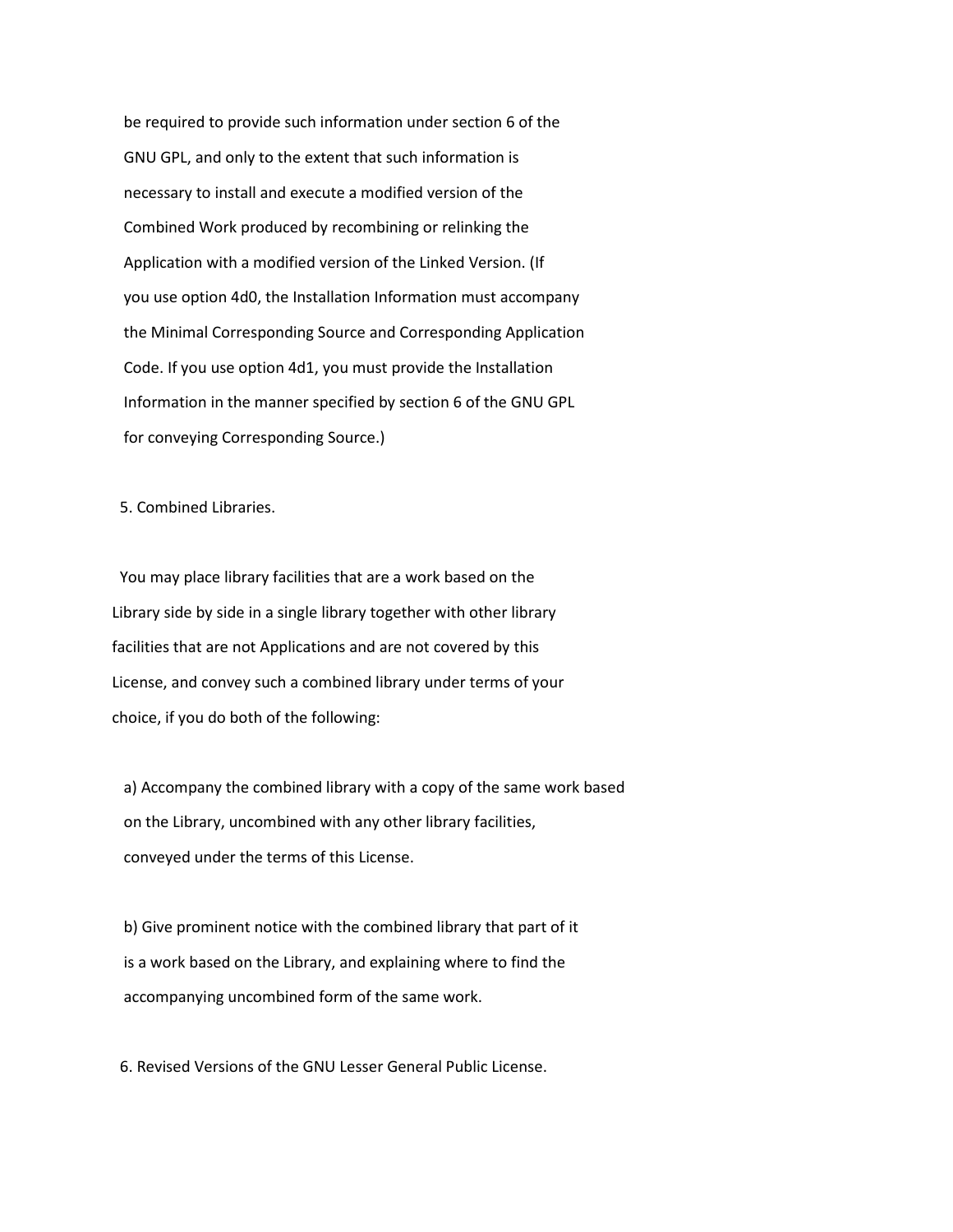be required to provide such information under section 6 of the GNU GPL, and only to the extent that such information is necessary to install and execute a modified version of the Combined Work produced by recombining or relinking the Application with a modified version of the Linked Version. (If you use option 4d0, the Installation Information must accompany the Minimal Corresponding Source and Corresponding Application Code. If you use option 4d1, you must provide the Installation Information in the manner specified by section 6 of the GNU GPL for conveying Corresponding Source.)

5. Combined Libraries.

 You may place library facilities that are a work based on the Library side by side in a single library together with other library facilities that are not Applications and are not covered by this License, and convey such a combined library under terms of your choice, if you do both of the following:

 a) Accompany the combined library with a copy of the same work based on the Library, uncombined with any other library facilities, conveyed under the terms of this License.

 b) Give prominent notice with the combined library that part of it is a work based on the Library, and explaining where to find the accompanying uncombined form of the same work.

6. Revised Versions of the GNU Lesser General Public License.